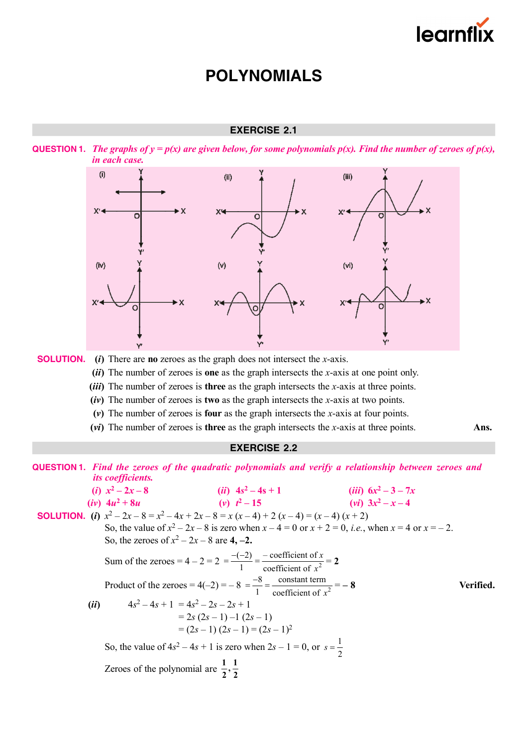

### **EXERCISE 2.1**





 **SOLUTION. (***i***)** There are **no** zeroes as the graph does not intersect the *x*-axis.

**(***ii***)** The number of zeroes is **one** as the graph intersects the *x*-axis at one point only.

**(***iii***)** The number of zeroes is **three** as the graph intersects the *x-*axis at three points.

**(***iv***)** The number of zeroes is **two** as the graph intersects the *x*-axis at two points.

- **(***v***)** The number of zeroes is **four** as the graph intersects the *x*-axis at four points.
- **(***vi***)** The number of zeroes is **three** as the graph intersects the *x*-axis at three points. **Ans.**

### **EXERCISE 2.2**

|      |                                                         | <b>QUESTION 1.</b> Find the zeroes of the quadratic polynomials and verify a relationship between zeroes and       |           |
|------|---------------------------------------------------------|--------------------------------------------------------------------------------------------------------------------|-----------|
|      | <i>its coefficients.</i>                                |                                                                                                                    |           |
|      | ( <i>i</i> ) $x^2 - 2x - 8$                             | ( <i>ii</i> ) $4s^2 - 4s + 1$ ( <i>iii</i> ) $6x^2 - 3 - 7x$                                                       |           |
|      | (v) $t^2-15$<br>$(iv)$ 4u <sup>2</sup> + 8u             | $(vi)$ $3x^2 - x - 4$                                                                                              |           |
|      |                                                         | <b>SOLUTION.</b> (i) $x^2 - 2x - 8 = x^2 - 4x + 2x - 8 = x(x - 4) + 2(x - 4) = (x - 4)(x + 2)$                     |           |
|      |                                                         | So, the value of $x^2 - 2x - 8$ is zero when $x - 4 = 0$ or $x + 2 = 0$ , <i>i.e.</i> , when $x = 4$ or $x = -2$ . |           |
|      | So, the zeroes of $x^2 - 2x - 8$ are 4, -2.             |                                                                                                                    |           |
|      |                                                         | Sum of the zeroes = $4-2=2=\frac{-(-2)}{1}=\frac{-\text{coefficient of }x}{\text{coefficient of }x^2}=2$           |           |
|      |                                                         | Product of the zeroes = $4(-2) = -8 = \frac{-8}{1} = \frac{\text{constant term}}{\text{coefficient of }x^2} = -8$  | Verified. |
| (ii) | $4s^2-4s+1 = 4s^2-2s-2s+1$                              |                                                                                                                    |           |
|      |                                                         | $= 2s(2s-1)-1(2s-1)$                                                                                               |           |
|      |                                                         | $=(2s-1)(2s-1)=(2s-1)^2$                                                                                           |           |
|      |                                                         | So, the value of $4s^2 - 4s + 1$ is zero when $2s - 1 = 0$ , or $s = \frac{1}{2}$                                  |           |
|      | Zeroes of the polynomial are $\frac{1}{2}, \frac{1}{2}$ |                                                                                                                    |           |
|      |                                                         |                                                                                                                    |           |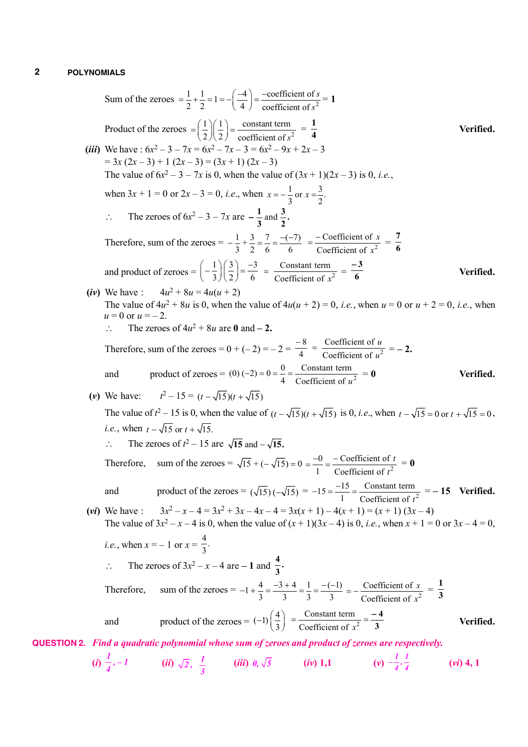Sum of the zeroes 
$$
= \frac{1}{2} + \frac{1}{2} = 1 = -(\frac{-4}{4}) = \frac{-\text{coefficient of } s^2}{\text{coefficient of } s^2} = 1
$$
  
\nProduct of the zeroes  $= (\frac{1}{2})(\frac{1}{2}) = \frac{\text{constant term}}{\text{coefficient of } s^2} = \frac{1}{4}$   
\n(iii) We have:  $6x^2 - 3 - 7x = 6x^2 - 7x - 3 = 6x^2 - 9x + 2x - 3$   
\n $= 3x(2x - 3) + 1(2x - 3) = (3x + 1)(2x - 3)$   
\nThe value of  $6x^2 - 3 - 7x$  is 0, when we value of  $(3x + 1)(2x - 3)$  is 0, i.e.,  
\nwhen  $3x + 1 = 0$  or  $2x - 3 = 0$ , i.e., when  $x = -\frac{1}{3}$  or  $x = \frac{3}{2}$ .  
\n $\therefore$  The zeroes of  $6x^2 - 3 - 7x$  are  $-\frac{1}{3}$  and  $\frac{3}{2}$ .  
\nTherefore, sum of the zeroes  $= -\frac{1}{3}$ ,  $\frac{3}{2} = \frac{7}{6} = \frac{(-7)}{6} = \frac{-\text{coefficient of } x}{\text{Coefficient of } x^2} = \frac{7}{6}$   
\nand product of zeroes  $= (-\frac{1}{3})(\frac{3}{2}) = \frac{-3}{6} = \frac{-\text{constant term}}{\text{coefficient of } x^2} = \frac{-3}{6}$   
\n $\therefore$  The values:  $4u^2 + 8u = 4u(u + 2)$   
\nThe value of  $4u^2 + 8u$  are 0 and - 2.  
\nTherefore, sum of the zeroes  $= 0 + (-2) = -2 = \frac{-8}{4} = \frac{\text{Coefficient of } u}{\text{Coefficient of } u^2} = -2$ .  
\nand product of zeroes  $= (0) + (-2) = -2 = \frac{-8}{4} = \frac{\text{Coefficient of } u}{\text{Coefficient of } u^2} = -2$ .  
\nand product of  $r = -\sqrt{15}(y + \sqrt{15})$   
\nThe value of  $r^2 - 15$  is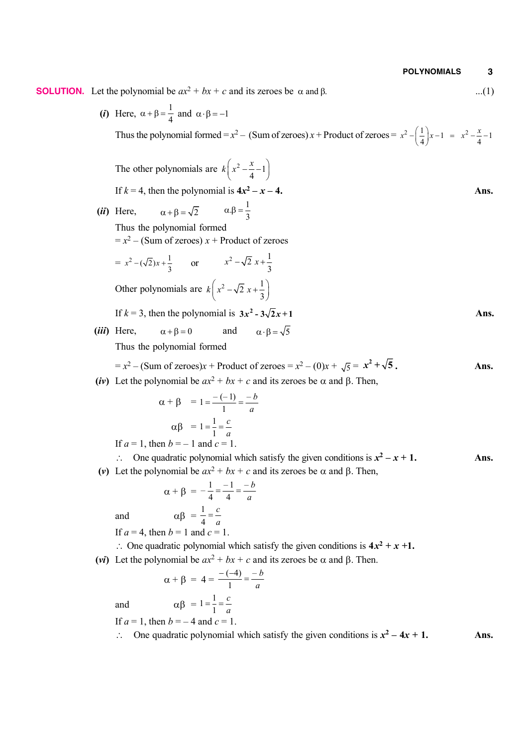**SOLUTION.** Let the polynomial be *ax*<sup>2</sup> + *bx* + *c* and its zeroes be and . ...(1)

(*i*) Here,  $\alpha + \beta = \frac{1}{4}$  $\alpha + \beta = \frac{1}{4}$  and  $\alpha \cdot \beta = -1$ Thus the polynomial formed =  $x^2$  – (Sum of zeroes)  $x$  + Product of zeroes =  $x^2 - \left(\frac{1}{4}\right)x - 1 = x^2 - \frac{x}{4} - 1$  $x^2 - \left(\frac{1}{4}\right)x - 1 = x^2 - \frac{x}{4}$ 

The other polynomials are 
$$
k\left(x^2 - \frac{x}{4} - 1\right)
$$
  
\nIf  $k = 4$ , then the polynomial is  $4x^2 - x - 4$ .  
\n(ii) Here,  $\alpha + \beta = \sqrt{2}$   $\alpha \beta = \frac{1}{3}$   
\nThus the polynomial formed  
\n $= x^2 - (Sum of zeroes) x + Product of zeroes$   
\n $= x^2 - (\sqrt{2})x + \frac{1}{3}$  or  $x^2 - \sqrt{2}x + \frac{1}{3}$   
\nOther polynomials are  $k\left(x^2 - \sqrt{2}x + \frac{1}{3}\right)$   
\nIf  $k = 3$ , then the polynomial is  $3x^2 - 3\sqrt{2}x + 1$   
\n(iii) Here,  $\alpha + \beta = 0$  and  $\alpha \cdot \beta = \sqrt{5}$   
\nThus the polynomial formed  
\n $= x^2 - (Sum of zeroes)x + Product of zeroes = x^2 - (0)x + \sqrt{5} = x^2 + \sqrt{5}$ .  
\n(iv) Let the polynomial be  $ax^2 + bx + c$  and its zeroes be  $\alpha$  and  $\beta$ . Then,  
\n $\alpha + \beta = 1 = \frac{-(-1)}{1} = \frac{-b}{a}$   
\n $\alpha\beta = 1 = \frac{1}{1} = \frac{c}{a}$   
\nIf  $a = 1$ , then  $b = -1$  and  $c = 1$ .  
\n $\therefore$  One quadratic polynomial which satisfy the given conditions is  $x^2 - x + 1$ .  
\n(v) Let the polynomial be  $ax^2 + bx + c$  and its zeroes be  $\alpha$  and  $\beta$ . Then,  
\n $\alpha + \beta = -\frac{1}{4} = \frac{-1}{a} = \frac{-b}{a}$   
\nand  $\alpha\beta = \frac{1}{4} = \frac{c}{a}$   
\nIf  $a = 4$ , then  $b = 1$  and  $c = 1$ .  
\n $\therefore$  One quadratic polynomial which satisfy the given conditions is  $4x^2 + x + 1$ .  
\n $\therefore$  One quadratic polynomial which satisfy the given conditions is  $4x^2 + x + 1$ .

(*vi*) Let the polynomial be  $ax^2 + bx + c$  and its zeroes be  $\alpha$  and  $\beta$ . Then.

$$
\alpha + \beta = 4 = \frac{-(-4)}{1} = \frac{-b}{a}
$$
  
and  $\alpha\beta = 1 = \frac{1}{1} = \frac{c}{a}$ 

If  $a = 1$ , then  $b = -4$  and  $c = 1$ .  $\therefore$  One quadratic polynomial which satisfy the given conditions is  $x^2 - 4x + 1$ . Ans.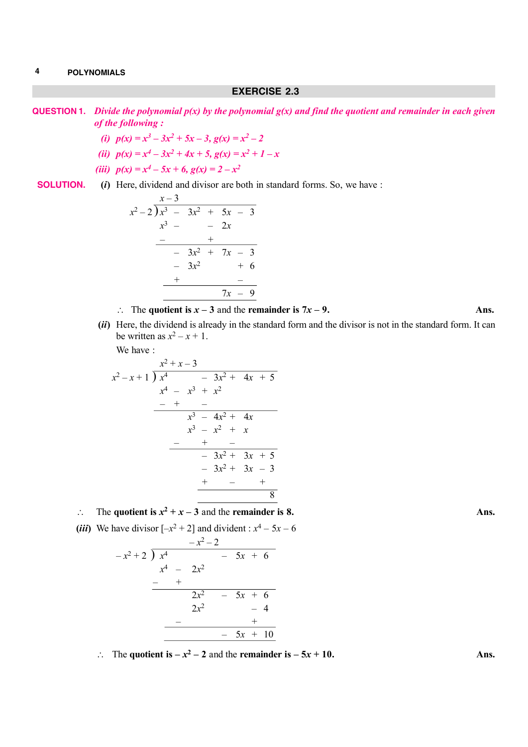### **EXERCISE 2.3**

**QUESTION 1.** *Divide the polynomial p(x) by the polynomial g(x) and find the quotient and remainder in each given of the following :*

- (*i*)  $p(x) = x^3 3x^2 + 5x 3$ ,  $g(x) = x^2 2$
- *(ii)*  $p(x) = x^4 3x^2 + 4x + 5$ ,  $g(x) = x^2 + 1 x$
- *(iii)*  $p(x) = x^4 5x + 6$ ,  $g(x) = 2 x^2$

**SOLUTION.** (*i*) Here, dividend and divisor are both in standard forms. So, we have : *x* – 3

| $\lambda = \beta$ |         |        |       |                                                                      |
|-------------------|---------|--------|-------|----------------------------------------------------------------------|
|                   |         |        |       |                                                                      |
|                   |         |        |       |                                                                      |
|                   |         |        |       |                                                                      |
|                   |         |        |       |                                                                      |
|                   |         |        |       |                                                                      |
|                   |         |        |       |                                                                      |
|                   |         |        |       |                                                                      |
|                   | $x^3$ – | $3x^2$ | $-2x$ | $(x^2-2)x^3 - 3x^2 + 5x - 3$<br>$-3x^2 + 7x - 3$<br>$+6$<br>$7x - 9$ |

 $\therefore$  The quotient is  $x - 3$  and the **remainder is 7***x* – 9. Ans.

**(***ii***)** Here, the dividend is already in the standard form and the divisor is not in the standard form. It can be written as  $x^2 - x + 1$ .

We have :

$$
\begin{array}{r} x^2 + x - 3 \\ x^2 - x + 1 \overline{\smash{\big)}\ x^4} & -3x^2 + 4x + 5 \\ \underline{x^4 - x^3 + x^2} \\ - & + & - \\ \underline{x^3 - 4x^2 + 4x} \\ x^3 - x^2 + x \\ \underline{- & + & - \\ \underline{- & 3x^2 + 3x + 5} \\ - & 3x^2 + 3x - 3 \\ \underline{+ & - & + \\ \underline{- & 8} \end{array}
$$

 $\therefore$  The quotient is  $x^2 + x - 3$  and the **remainder is 8.** Ans.

(*iii*) We have divisor  $[-x^2 + 2]$  and divident :  $x^4 - 5x - 6$ 

$$
\begin{array}{r} -x^2 - 2 \\ -x^2 + 2 \overline{\smash) x^4} & -5x + 6 \\ \underline{x^4 - 2x^2} & -\\ + \\ \underline{2x^2 - 5x + 6} & -\\ 2x^2 - 4 & +\\ \underline{-\\ -5x + 10} & -5x + 10 \end{array}
$$

 $\therefore$  The quotient is  $-x^2 - 2$  and the **remainder is**  $-5x + 10$ **. Ans.**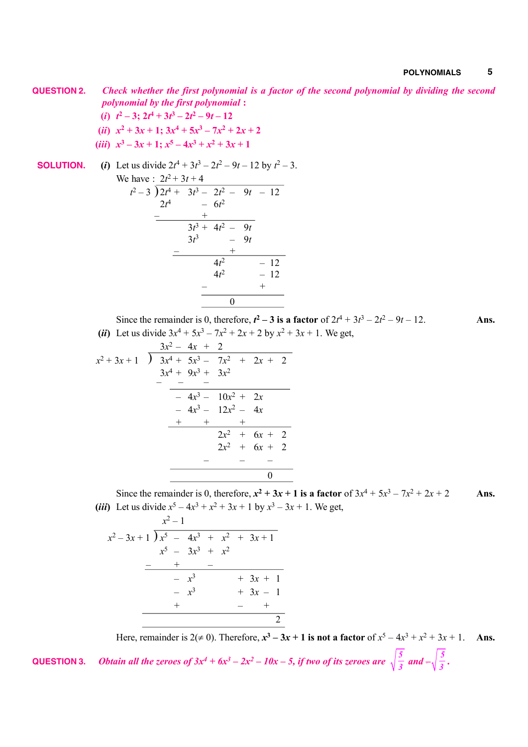**QUESTION 2.** *Check whether the first polynomial is a factor of the second polynomial by dividing the second polynomial by the first polynomial* **:**

- $(i)$   $t^2 3$ ;  $2t^4 + 3t^3 2t^2 9t 12$
- (*ii*)  $x^2 + 3x + 1$ ;  $3x^4 + 5x^3 7x^2 + 2x + 2$
- (*iii*)  $x^3 3x + 1$ ;  $x^5 4x^3 + x^2 + 3x + 1$

**SOLUTION.** (i) Let us divide 
$$
2t^4 + 3t^3 - 2t^2 - 9t - 12
$$
 by  $t^2 - 3$ .  
\nWe have :  $2t^2 + 3t + 4$   
\n $t^2 - 3 \overline{\smash{\big)}\ 2t^4 + 3t^3 - 2t^2 - 9t - 12}$   
\n $2t^4 - 6t^2$   
\n $\underline{\qquad \qquad } - \underline{\qquad \qquad } + \underline{\qquad \qquad } - \underline{\qquad \qquad } + \underline{\qquad \qquad } - \underline{\qquad \qquad } - \underline{\qquad \qquad } + \underline{\qquad \qquad } - \underline{\qquad \qquad } - \underline{\qquad \qquad } + \underline{\qquad \qquad } - \underline{\qquad \qquad } + \underline{\qquad \qquad } - \underline{\qquad \qquad } + \underline{\qquad \qquad } - \underline{\qquad \qquad } + \underline{\qquad \qquad } + \underline{\qquad \qquad } + \underline{\qquad \qquad } + \underline{\qquad \qquad } + \underline{\qquad \qquad } + \underline{\qquad \qquad } + \underline{\qquad \qquad } + \underline{\qquad \qquad } + \underline{\qquad \qquad } + \underline{\qquad \qquad } + \underline{\qquad \qquad } + \underline{\qquad \qquad } + \underline{\qquad \qquad } + \underline{\qquad \qquad } + \underline{\qquad \qquad } + \underline{\qquad \qquad } + \underline{\qquad \qquad } + \underline{\qquad \qquad } + \underline{\qquad \qquad } + \underline{\qquad \qquad } + \underline{\qquad \qquad } + \underline{\qquad \qquad } + \underline{\qquad \qquad } + \underline{\qquad \qquad } + \underline{\qquad \qquad } + \underline{\qquad \qquad } + \underline{\qquad \qquad } + \underline{\qquad \qquad } + \underline{\qquad \qquad } + \underline{\qquad \qquad } + \underline{\qquad \qquad } + \underline{\qquad \qquad } + \underline{\qquad \qquad } + \underline{\qquad \qquad } + \underline{\qquad \qquad } + \underline{\qquad \qquad } + \underline{\qquad \qquad } + \underline{\qquad \qquad } + \underline{\qquad \qquad } + \underline{\qquad \qquad } + \underline{\qquad \qquad } + \underline{\qquad \qquad } + \underline{\qquad \qquad } + \underline{\qquad \qquad } + \underline{\qquad \qquad } + \underline{\q$ 

Since the remainder is 0, therefore,  $t^2 - 3$  is a factor of  $2t^4 + 3t^3 - 2t^2 - 9t - 12$ . (*ii*) Let us divide  $3x^4 + 5x^3 - 7x^2 + 2x + 2$  by  $x^2 + 3x + 1$ . We get,

$$
x^{2} + 3x + 1 \quad \overline{\smash) \quad 3x^{2} - 4x + 2}
$$
\n
$$
3x^{4} + 5x^{3} - 7x^{2} + 2x + 2
$$
\n
$$
3x^{4} + 9x^{3} + 3x^{2}
$$
\n
$$
-4x^{3} - 10x^{2} + 2x
$$
\n
$$
-4x^{3} - 12x^{2} - 4x
$$
\n
$$
+ + + +
$$
\n
$$
2x^{2} + 6x + 2
$$
\n
$$
- - - -
$$
\n
$$
0
$$

 $-$  + 0

Since the remainder is 0, therefore,  $x^2 + 3x + 1$  is a factor of  $3x^4 + 5x^3 - 7x^2 + 2x + 2$  Ans. (*iii*) Let us divide  $x^5 - 4x^3 + x^2 + 3x + 1$  by  $x^3 - 3x + 1$ . We get,

$$
x^{2}-3x+1 \overline{\smash)x^{5}-4x^{3} + x^{2} + 3x+1}
$$
\n
$$
x^{5}-3x^{3} + x^{2}
$$
\n
$$
-\phantom{x^{3}}x^{3} + 3x + 1
$$
\n
$$
-\phantom{x^{3}}x^{3} + 3x + 1
$$
\n
$$
-\phantom{x^{3}}x^{3} + 3x - 1
$$
\n
$$
+\phantom{x^{3}}x^{3} + 3x - 1
$$
\n
$$
2
$$

Here, remainder is  $2(\neq 0)$ . Therefore,  $x^3 - 3x + 1$  is not a factor of  $x^5 - 4x^3 + x^2 + 3x + 1$ . Ans. 3  $\frac{1}{3}$   $\sqrt{3}$ **QUESTION 3.** *Obtain all the zeroes of 3x<sup>4</sup> + 6x<sup>3</sup> – 2x<sup>2</sup> – 10x – 5, if two of its zeroes are*  $\sqrt{\frac{5}{2}}$  *and*  $-\sqrt{\frac{5}{2}}$ *.*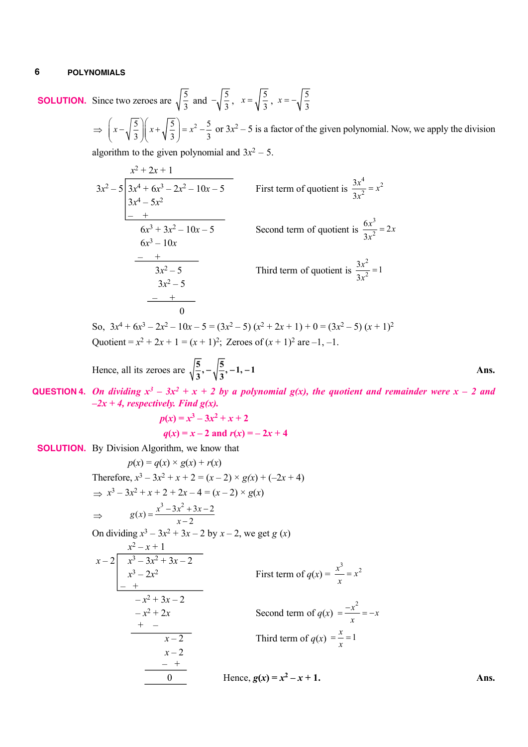**SOLUTION.** Since two zeroes are  $\sqrt{\frac{5}{3}}$  and  $-\sqrt{\frac{5}{3}}$ ,  $x = \sqrt{\frac{5}{3}}$  $x = \sqrt{\frac{5}{3}}, x = -\sqrt{\frac{5}{3}}$  $x=-\sqrt{\frac{5}{3}}$  $\Rightarrow \left(x-\sqrt{\frac{5}{2}}\right)\left(x+\sqrt{\frac{5}{2}}\right)=x^2-\frac{5}{2}$  $\left(x-\sqrt{\frac{5}{3}}\right)\left(x+\sqrt{\frac{5}{3}}\right)=x^2-\frac{5}{3}$  $( V 3)( V 3)$ or  $3x^2 - 5$  is a factor of the given polynomial. Now, we apply the division

algorithm to the given polynomial and  $3x^2 - 5$ .

$$
\frac{x^2 + 2x + 1}{3x^2 - 5} = \frac{3x^4 + 6x^3 - 2x^2 - 10x - 5}{3x^4 - 5x^2}
$$
  
First term of quotient is  $\frac{3x^4}{3x^2} = x^2$   
 $\frac{6x^3 + 3x^2 - 10x - 5}{6x^3 - 10x}$   
 $\frac{-}{3x^2 - 5}$   
 $\frac{-}{3x^2 - 5}$   
 $\frac{-}{3x^2 - 5}$   
Third term of quotient is  $\frac{3x^2}{3x^2} = 1$   
Third term of quotient is  $\frac{3x^2}{3x^2} = 1$ 

So,  $3x^4 + 6x^3 - 2x^2 - 10x - 5 = (3x^2 - 5)(x^2 + 2x + 1) + 0 = (3x^2 - 5)(x + 1)^2$ Quotient =  $x^2 + 2x + 1 = (x + 1)^2$ ; Zeroes of  $(x + 1)^2$  are -1, -1.

Hence, all its zeroes are 
$$
\sqrt{\frac{5}{3}}, -\sqrt{\frac{5}{3}}, -1, -1
$$

**QUESTION 4.** On dividing  $x^3 - 3x^2 + x + 2$  by a polynomial g(x), the quotient and remainder were  $x - 2$  and  $-2x + 4$ , respectively. Find  $g(x)$ .

$$
p(x) = x3 - 3x2 + x + 2
$$
  
 
$$
q(x) = x - 2
$$
 and  $r(x) = -2x + 4$ 

**SOLUTION.** By Division Algorithm, we know that

$$
p(x) = q(x) \times g(x) + r(x)
$$
  
\nTherefore,  $x^3 - 3x^2 + x + 2 = (x - 2) \times g(x) + (-2x + 4)$   
\n⇒  $x^3 - 3x^2 + x + 2 + 2x - 4 = (x - 2) \times g(x)$   
\n⇒  $g(x) = \frac{x^3 - 3x^2 + 3x - 2}{x - 2}$   
\nOn dividing  $x^3 - 3x^2 + 3x - 2$  by  $x - 2$ , we get  $g(x)$   
\n
$$
\begin{array}{r} x^2 - x + 1 \\ x - 2 \overline{\smash)x^3 - 3x^2 + 3x - 2} \\ x^3 - 2x^2 \overline{\smash)x^3 - 2} \\ x^3 - x^2 + 3x - 2 \\ \overline{\smash)x^2 - 2} \\ -x^2 + 2x \overline{\smash)x^2 - 2} \\ x^3 - 2x^2 \overline{\smash)x^2 - 2} \\ x^3 - 2x^2 \overline{\smash)x^2 - 2} \\ x^3 - 2x^2 \overline{\smash)x^2 - 2} \\ x^3 - 2x^2 \overline{\smash)x^2 - 2} \\ x^3 - 2x^2 \overline{\smash)x^2 - 2} \\ x^3 - 2x^2 \overline{\smash)x^2 - 2} \\ x^3 - 2x^2 \overline{\smash)x^2 - 2} \\ x^3 - 2x^2 \overline{\smash)x^2 - 2} \\ x^3 - 2x^2 \overline{\smash)x^2 - 2} \\ x^3 - 2x^2 \overline{\smash)x^2 - 2} \\ x^3 - 2x^2 \overline{\smash)x^2 - 2} \\ x^3 - 2x^2 \overline{\smash)x^2 - 2} \\ x^3 - 2x^2 \overline{\smash)x^2 - 2} \\ x^3 - 2x^2 \overline{\smash)x^2 - 2} \\ x^3 - 2x^2 \overline{\smash)x^2 - 2} \\ x^3 - 2x^2 \overline{\smash)x^2 - 2} \\ x^3 - 2x^2 \overline{\smash)x^2 - 2} \\ x^3 - 2x^2 \overline{\smash)x^2 - 2} \\ x^3 - 2x^2 \overline{\smash)x^2 - 2} \\ x^3 - 2x^2 \
$$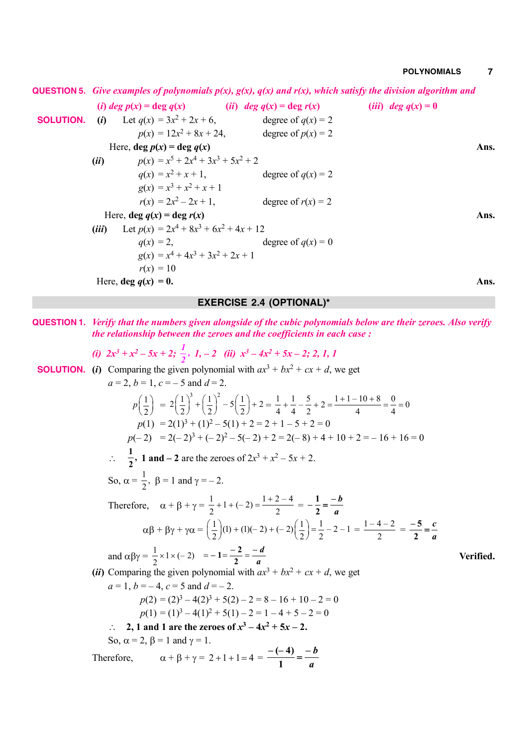**QUESTION 5.** *Give examples of polynomials p(x), g(x), q(x) and r(x), which satisfy the division algorithm and*

(i) deg  $p(x) = \deg q(x)$  (ii) deg  $q(x) = \deg r(x)$  (iii) deg  $q(x) = 0$  **SOLUTION.** (*i*) Let  $q(x) = 3x^2$ degree of  $q(x) = 2$  $p(x) = 12x^2$ degree of  $p(x) = 2$ Here,  $\deg p(x) = \deg q(x)$  Ans. (*ii*)  $p(x) = x^5 + 2x^4 + 3x^3 + 5x^2 + 2$  $q(x) = x^2$ degree of  $q(x) = 2$  $g(x) = x^3 + x^2 + x + 1$  $r(x) = 2x^2$ degree of  $r(x) = 2$ Here,  $\deg q(x) = \deg r(x)$  Ans. (*iii*) Let  $p(x) = 2x^4 + 8x^3 + 6x^2 + 4x + 12$  $q(x) = 2$ , degree of  $q(x) = 0$  $g(x) = x^4 + 4x^3 + 3x^2 + 2x + 1$  $r(x) = 10$ Here,  $\deg q(x) = 0$ . Ans.

### **EXERCISE 2.4 (OPTIONAL)\***

**QUESTION 1.** *Verify that the numbers given alongside of the cubic polynomials below are their zeroes. Also verify the relationship between the zeroes and the coefficients in each case :*

(i) 
$$
2x^3 + x^2 - 5x + 2
$$
;  $\frac{1}{2}$ , 1, -2 (ii)  $x^3 - 4x^2 + 5x - 2$ ; 2, 1, 1

**SOLUTION.** (*i*) Comparing the given polynomial with  $ax^3 + bx^2 + cx + d$ , we get

$$
a = 2, b = 1, c = -5 \text{ and } d = 2.
$$
\n
$$
p\left(\frac{1}{2}\right) = 2\left(\frac{1}{2}\right)^3 + \left(\frac{1}{2}\right)^2 - 5\left(\frac{1}{2}\right) + 2 = \frac{1}{4} + \frac{1}{4} - \frac{5}{2} + 2 = \frac{1+1-10+8}{4} = \frac{0}{4} = 0
$$
\n
$$
p(1) = 2(1)^3 + (1)^2 - 5(1) + 2 = 2 + 1 - 5 + 2 = 0
$$
\n
$$
p(-2) = 2(-2)^3 + (-2)^2 - 5(-2) + 2 = 2(-8) + 4 + 10 + 2 = -16 + 16 = 0
$$
\n
$$
\therefore \frac{1}{2}, \text{ 1 and } -2 \text{ are the zeroes of } 2x^3 + x^2 - 5x + 2.
$$
\nSo,  $\alpha = \frac{1}{2}, \beta = 1 \text{ and } \gamma = -2.$   
\nTherefore,  $\alpha + \beta + \gamma = \frac{1}{2} + 1 + (-2) = \frac{1+2-4}{2} = -\frac{1}{2} = -\frac{b}{a}$   
\n $\alpha\beta + \beta\gamma + \gamma\alpha = \left(\frac{1}{2}\right)(1) + (1)(-2) + (-2)\left(\frac{1}{2}\right) = \frac{1}{2} - 2 - 1 = \frac{1-4-2}{2} = \frac{-5}{2} = \frac{c}{a}$   
\nand  $\alpha\beta\gamma = \frac{1}{2} \times 1 \times (-2) = -1 = \frac{-2}{2} = \frac{-d}{a}$   
\n
$$
\text{(ii) Comparing the given polynomial with } ax^3 + bx^2 + cx + d, we get
$$
\n
$$
a = 1, b = -4, c = 5 \text{ and } d = -2.
$$
\n
$$
p(2) = (2)^3 - 4(2)^3 + 5(2) - 2 = 8 - 16 + 10 - 2 = 0
$$
\n
$$
p(1) = (1)^3 - 4(1)^2 + 5(1) - 2 = 1 - 4 + 5 - 2 = 0
$$
\n
$$
\therefore \text{ 2, 1 and 1 are the zeroes of } x^3 - 4x^2
$$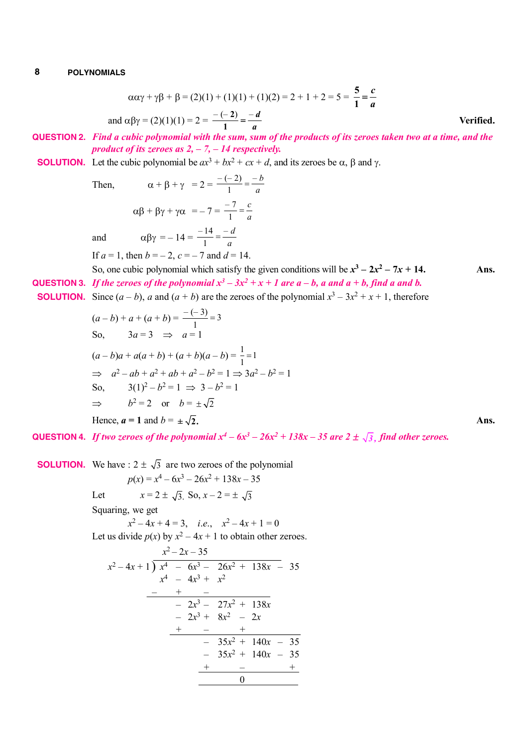$$
\alpha\alpha\gamma + \gamma\beta + \beta = (2)(1) + (1)(1) + (1)(2) = 2 + 1 + 2 = 5 = \frac{5}{1} = \frac{c}{a}
$$
  
and  $\alpha\beta\gamma = (2)(1)(1) = 2 = \frac{-(-2)}{1} = \frac{-d}{a}$ 

**QUESTION 2.** *Find a cubic polynomial with the sum, sum of the products of its zeroes taken two at a time, and the product of its zeroes as 2, – 7, – 14 respectively.*

### **SOLUTION.** Let the cubic polynomial be  $ax^3 + bx^2 + cx + d$ , and its zeroes be  $\alpha$ ,  $\beta$  and  $\gamma$ .

Then

$$
\alpha + \beta + \gamma = 2 = \frac{-(-2)}{1} = \frac{-b}{a}
$$

$$
\alpha \beta + \beta \gamma + \gamma \alpha = -7 = \frac{-7}{1} = \frac{c}{a}
$$
  
and  

$$
\alpha \beta \gamma = -14 = \frac{-14}{1} = \frac{-d}{a}
$$

If  $a = 1$ , then  $b = -2$ ,  $c = -7$  and  $d = 14$ .

- So, one cubic polynomial which satisfy the given conditions will be  $x^3 2x^2 7x + 14$ . Ans. **QUESTION 3.** If the zeroes of the polynomial  $x^3 - 3x^2 + x + 1$  are  $a - b$ , a and  $a + b$ , find a and b.
- **SOLUTION.** Since  $(a b)$ , *a* and  $(a + b)$  are the zeroes of the polynomial  $x^3 3x^2 + x + 1$ , therefore

*a*

$$
(a - b) + a + (a + b) = \frac{-(-3)}{1} = 3
$$
  
So,  $3a = 3 \implies a = 1$   
 $(a - b)a + a(a + b) + (a + b)(a - b) = \frac{1}{1} = 1$   
 $\implies a^2 - ab + a^2 + ab + a^2 - b^2 = 1 \implies 3a^2 - b^2 = 1$   
So,  $3(1)^2 - b^2 = 1 \implies 3 - b^2 = 1$   
 $\implies b^2 = 2 \text{ or } b = \pm \sqrt{2}$   
Hence,  $a = 1$  and  $b = \pm \sqrt{2}$ .

**QUESTION 4.** If two zeroes of the polynomial  $x^4 - 6x^3 - 26x^2 + 138x - 35$  are  $2 \pm \sqrt{3}$ , find other zeroes.

**SOLUTION.** We have :  $2 \pm \sqrt{3}$  are two zeroes of the polynomial  $p(x) = x^4 - 6x^3 - 26x^2 + 138x - 35$ Let  $x = 2 \pm \sqrt{3}$ . So,  $x - 2 = \pm \sqrt{3}$ Squaring, we get  $x^2 - 4x + 4 = 3$ , *i.e.*,  $x^2 - 4x + 1 = 0$ Let us divide  $p(x)$  by  $x^2 - 4x + 1$  to obtain other zeroes.  $x^2-2x-35$  $x^2 - 4x + 1$   $\overline{\smash{\big)}\ x^4 - 6x^3 - 26x^2 + 138x - 35}$  $x^4$  –  $4x^3$  +  $x^2$ – + –  $-2x^3 - 27x^2 + 138x$  $-2x^3 + 8x^2 - 2x$  $+$  –  $+$  $-35x^2 + 140x - 35$  $-35x^2 + 140x - 35$  $-$  + 0

**Verified.**